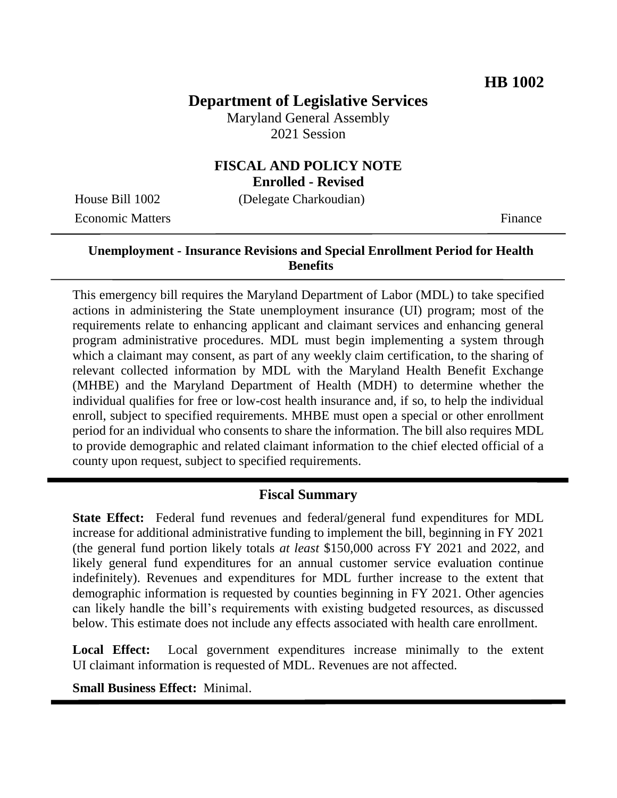# **Department of Legislative Services**

Maryland General Assembly 2021 Session

# **FISCAL AND POLICY NOTE**

**Enrolled - Revised**

House Bill 1002 (Delegate Charkoudian) Economic Matters **Finance** 

# **Unemployment - Insurance Revisions and Special Enrollment Period for Health Benefits**

This emergency bill requires the Maryland Department of Labor (MDL) to take specified actions in administering the State unemployment insurance (UI) program; most of the requirements relate to enhancing applicant and claimant services and enhancing general program administrative procedures. MDL must begin implementing a system through which a claimant may consent, as part of any weekly claim certification, to the sharing of relevant collected information by MDL with the Maryland Health Benefit Exchange (MHBE) and the Maryland Department of Health (MDH) to determine whether the individual qualifies for free or low-cost health insurance and, if so, to help the individual enroll, subject to specified requirements. MHBE must open a special or other enrollment period for an individual who consents to share the information. The bill also requires MDL to provide demographic and related claimant information to the chief elected official of a county upon request, subject to specified requirements.

#### **Fiscal Summary**

**State Effect:** Federal fund revenues and federal/general fund expenditures for MDL increase for additional administrative funding to implement the bill, beginning in FY 2021 (the general fund portion likely totals *at least* \$150,000 across FY 2021 and 2022, and likely general fund expenditures for an annual customer service evaluation continue indefinitely). Revenues and expenditures for MDL further increase to the extent that demographic information is requested by counties beginning in FY 2021. Other agencies can likely handle the bill's requirements with existing budgeted resources, as discussed below. This estimate does not include any effects associated with health care enrollment.

**Local Effect:** Local government expenditures increase minimally to the extent UI claimant information is requested of MDL. Revenues are not affected.

**Small Business Effect:** Minimal.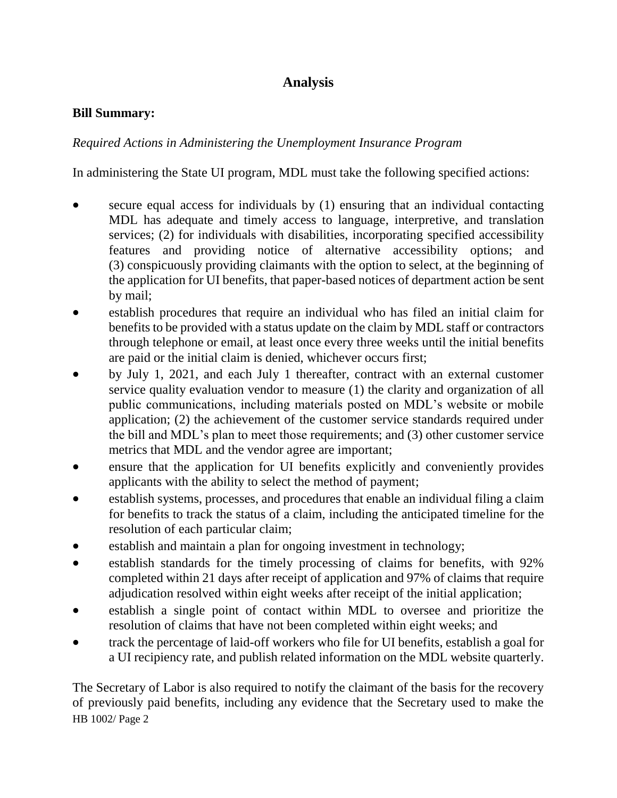# **Analysis**

#### **Bill Summary:**

#### *Required Actions in Administering the Unemployment Insurance Program*

In administering the State UI program, MDL must take the following specified actions:

- secure equal access for individuals by (1) ensuring that an individual contacting MDL has adequate and timely access to language, interpretive, and translation services; (2) for individuals with disabilities, incorporating specified accessibility features and providing notice of alternative accessibility options; and (3) conspicuously providing claimants with the option to select, at the beginning of the application for UI benefits, that paper-based notices of department action be sent by mail;
- establish procedures that require an individual who has filed an initial claim for benefits to be provided with a status update on the claim by MDL staff or contractors through telephone or email, at least once every three weeks until the initial benefits are paid or the initial claim is denied, whichever occurs first;
- by July 1, 2021, and each July 1 thereafter, contract with an external customer service quality evaluation vendor to measure (1) the clarity and organization of all public communications, including materials posted on MDL's website or mobile application; (2) the achievement of the customer service standards required under the bill and MDL's plan to meet those requirements; and (3) other customer service metrics that MDL and the vendor agree are important;
- ensure that the application for UI benefits explicitly and conveniently provides applicants with the ability to select the method of payment;
- establish systems, processes, and procedures that enable an individual filing a claim for benefits to track the status of a claim, including the anticipated timeline for the resolution of each particular claim;
- establish and maintain a plan for ongoing investment in technology;
- establish standards for the timely processing of claims for benefits, with 92% completed within 21 days after receipt of application and 97% of claims that require adjudication resolved within eight weeks after receipt of the initial application;
- establish a single point of contact within MDL to oversee and prioritize the resolution of claims that have not been completed within eight weeks; and
- track the percentage of laid-off workers who file for UI benefits, establish a goal for a UI recipiency rate, and publish related information on the MDL website quarterly.

HB 1002/ Page 2 The Secretary of Labor is also required to notify the claimant of the basis for the recovery of previously paid benefits, including any evidence that the Secretary used to make the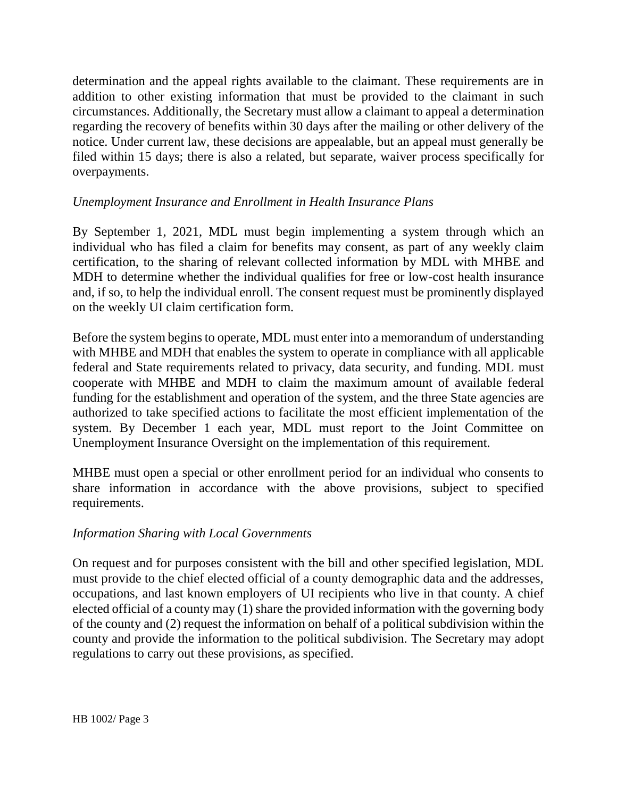determination and the appeal rights available to the claimant. These requirements are in addition to other existing information that must be provided to the claimant in such circumstances. Additionally, the Secretary must allow a claimant to appeal a determination regarding the recovery of benefits within 30 days after the mailing or other delivery of the notice. Under current law, these decisions are appealable, but an appeal must generally be filed within 15 days; there is also a related, but separate, waiver process specifically for overpayments.

### *Unemployment Insurance and Enrollment in Health Insurance Plans*

By September 1, 2021, MDL must begin implementing a system through which an individual who has filed a claim for benefits may consent, as part of any weekly claim certification, to the sharing of relevant collected information by MDL with MHBE and MDH to determine whether the individual qualifies for free or low-cost health insurance and, if so, to help the individual enroll. The consent request must be prominently displayed on the weekly UI claim certification form.

Before the system begins to operate, MDL must enter into a memorandum of understanding with MHBE and MDH that enables the system to operate in compliance with all applicable federal and State requirements related to privacy, data security, and funding. MDL must cooperate with MHBE and MDH to claim the maximum amount of available federal funding for the establishment and operation of the system, and the three State agencies are authorized to take specified actions to facilitate the most efficient implementation of the system. By December 1 each year, MDL must report to the Joint Committee on Unemployment Insurance Oversight on the implementation of this requirement.

MHBE must open a special or other enrollment period for an individual who consents to share information in accordance with the above provisions, subject to specified requirements.

#### *Information Sharing with Local Governments*

On request and for purposes consistent with the bill and other specified legislation, MDL must provide to the chief elected official of a county demographic data and the addresses, occupations, and last known employers of UI recipients who live in that county. A chief elected official of a county may (1) share the provided information with the governing body of the county and (2) request the information on behalf of a political subdivision within the county and provide the information to the political subdivision. The Secretary may adopt regulations to carry out these provisions, as specified.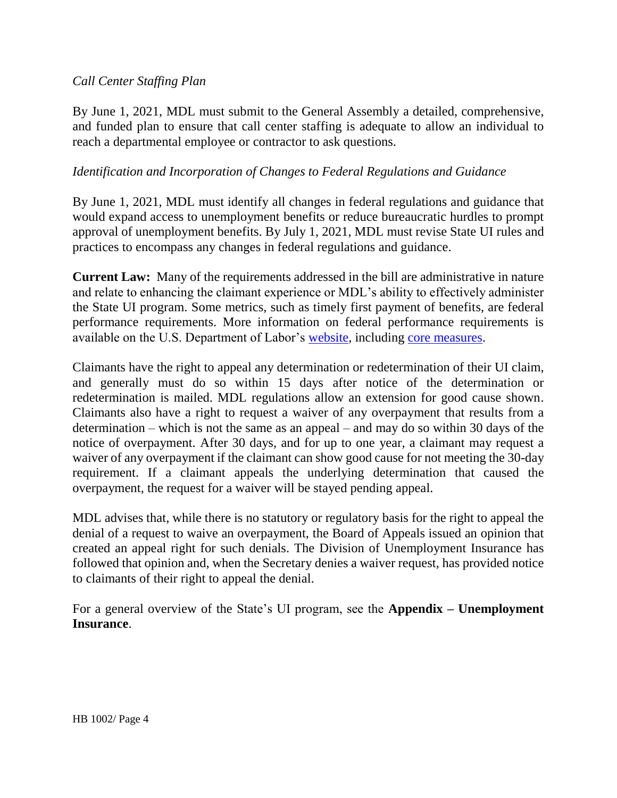### *Call Center Staffing Plan*

By June 1, 2021, MDL must submit to the General Assembly a detailed, comprehensive, and funded plan to ensure that call center staffing is adequate to allow an individual to reach a departmental employee or contractor to ask questions.

### *Identification and Incorporation of Changes to Federal Regulations and Guidance*

By June 1, 2021, MDL must identify all changes in federal regulations and guidance that would expand access to unemployment benefits or reduce bureaucratic hurdles to prompt approval of unemployment benefits. By July 1, 2021, MDL must revise State UI rules and practices to encompass any changes in federal regulations and guidance.

**Current Law:** Many of the requirements addressed in the bill are administrative in nature and relate to enhancing the claimant experience or MDL's ability to effectively administer the State UI program. Some metrics, such as timely first payment of benefits, are federal performance requirements. More information on federal performance requirements is available on the U.S. Department of Labor's [website,](https://oui.doleta.gov/unemploy/uiperforms.asp) including [core measures.](https://oui.doleta.gov/unemploy/pdf/Core_Measures.pdf)

Claimants have the right to appeal any determination or redetermination of their UI claim, and generally must do so within 15 days after notice of the determination or redetermination is mailed. MDL regulations allow an extension for good cause shown. Claimants also have a right to request a waiver of any overpayment that results from a determination – which is not the same as an appeal – and may do so within 30 days of the notice of overpayment. After 30 days, and for up to one year, a claimant may request a waiver of any overpayment if the claimant can show good cause for not meeting the 30-day requirement. If a claimant appeals the underlying determination that caused the overpayment, the request for a waiver will be stayed pending appeal.

MDL advises that, while there is no statutory or regulatory basis for the right to appeal the denial of a request to waive an overpayment, the Board of Appeals issued an opinion that created an appeal right for such denials. The Division of Unemployment Insurance has followed that opinion and, when the Secretary denies a waiver request, has provided notice to claimants of their right to appeal the denial.

For a general overview of the State's UI program, see the **Appendix – Unemployment Insurance**.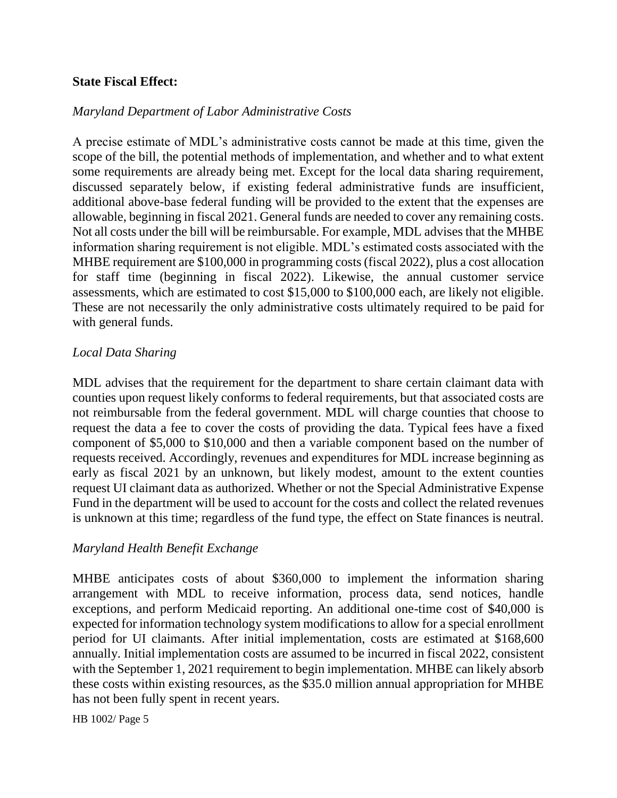#### **State Fiscal Effect:**

#### *Maryland Department of Labor Administrative Costs*

A precise estimate of MDL's administrative costs cannot be made at this time, given the scope of the bill, the potential methods of implementation, and whether and to what extent some requirements are already being met. Except for the local data sharing requirement, discussed separately below, if existing federal administrative funds are insufficient, additional above-base federal funding will be provided to the extent that the expenses are allowable, beginning in fiscal 2021. General funds are needed to cover any remaining costs. Not all costs under the bill will be reimbursable. For example, MDL advises that the MHBE information sharing requirement is not eligible. MDL's estimated costs associated with the MHBE requirement are \$100,000 in programming costs (fiscal 2022), plus a cost allocation for staff time (beginning in fiscal 2022). Likewise, the annual customer service assessments, which are estimated to cost \$15,000 to \$100,000 each, are likely not eligible. These are not necessarily the only administrative costs ultimately required to be paid for with general funds.

#### *Local Data Sharing*

MDL advises that the requirement for the department to share certain claimant data with counties upon request likely conforms to federal requirements, but that associated costs are not reimbursable from the federal government. MDL will charge counties that choose to request the data a fee to cover the costs of providing the data. Typical fees have a fixed component of \$5,000 to \$10,000 and then a variable component based on the number of requests received. Accordingly, revenues and expenditures for MDL increase beginning as early as fiscal 2021 by an unknown, but likely modest, amount to the extent counties request UI claimant data as authorized. Whether or not the Special Administrative Expense Fund in the department will be used to account for the costs and collect the related revenues is unknown at this time; regardless of the fund type, the effect on State finances is neutral.

#### *Maryland Health Benefit Exchange*

MHBE anticipates costs of about \$360,000 to implement the information sharing arrangement with MDL to receive information, process data, send notices, handle exceptions, and perform Medicaid reporting. An additional one-time cost of \$40,000 is expected for information technology system modifications to allow for a special enrollment period for UI claimants. After initial implementation, costs are estimated at \$168,600 annually. Initial implementation costs are assumed to be incurred in fiscal 2022, consistent with the September 1, 2021 requirement to begin implementation. MHBE can likely absorb these costs within existing resources, as the \$35.0 million annual appropriation for MHBE has not been fully spent in recent years.

HB 1002/ Page 5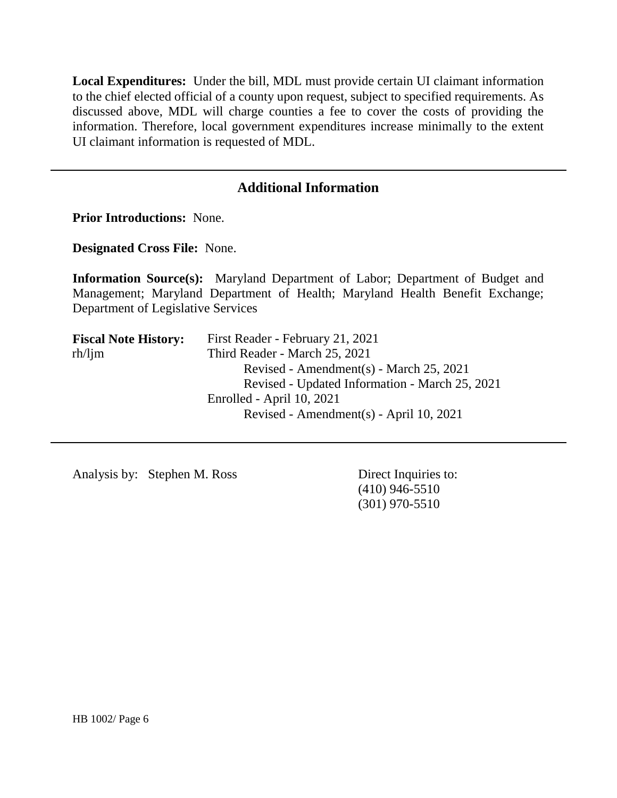**Local Expenditures:** Under the bill, MDL must provide certain UI claimant information to the chief elected official of a county upon request, subject to specified requirements. As discussed above, MDL will charge counties a fee to cover the costs of providing the information. Therefore, local government expenditures increase minimally to the extent UI claimant information is requested of MDL.

# **Additional Information**

**Prior Introductions:** None.

**Designated Cross File:** None.

**Information Source(s):** Maryland Department of Labor; Department of Budget and Management; Maryland Department of Health; Maryland Health Benefit Exchange; Department of Legislative Services

| First Reader - February 21, 2021               |
|------------------------------------------------|
| Third Reader - March 25, 2021                  |
| Revised - Amendment(s) - March 25, 2021        |
| Revised - Updated Information - March 25, 2021 |
| Enrolled - April 10, 2021                      |
| Revised - Amendment(s) - April 10, 2021        |
|                                                |

Analysis by: Stephen M. Ross Direct Inquiries to:

(410) 946-5510 (301) 970-5510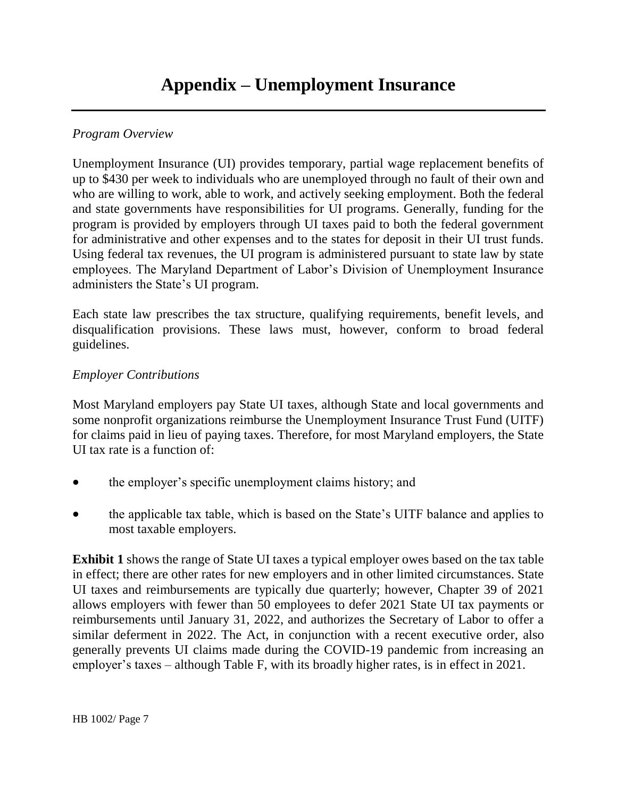# *Program Overview*

Unemployment Insurance (UI) provides temporary, partial wage replacement benefits of up to \$430 per week to individuals who are unemployed through no fault of their own and who are willing to work, able to work, and actively seeking employment. Both the federal and state governments have responsibilities for UI programs. Generally, funding for the program is provided by employers through UI taxes paid to both the federal government for administrative and other expenses and to the states for deposit in their UI trust funds. Using federal tax revenues, the UI program is administered pursuant to state law by state employees. The Maryland Department of Labor's Division of Unemployment Insurance administers the State's UI program.

Each state law prescribes the tax structure, qualifying requirements, benefit levels, and disqualification provisions. These laws must, however, conform to broad federal guidelines.

#### *Employer Contributions*

Most Maryland employers pay State UI taxes, although State and local governments and some nonprofit organizations reimburse the Unemployment Insurance Trust Fund (UITF) for claims paid in lieu of paying taxes. Therefore, for most Maryland employers, the State UI tax rate is a function of:

- the employer's specific unemployment claims history; and
- the applicable tax table, which is based on the State's UITF balance and applies to most taxable employers.

**Exhibit 1** shows the range of State UI taxes a typical employer owes based on the tax table in effect; there are other rates for new employers and in other limited circumstances. State UI taxes and reimbursements are typically due quarterly; however, Chapter 39 of 2021 allows employers with fewer than 50 employees to defer 2021 State UI tax payments or reimbursements until January 31, 2022, and authorizes the Secretary of Labor to offer a similar deferment in 2022. The Act, in conjunction with a recent executive order, also generally prevents UI claims made during the COVID-19 pandemic from increasing an employer's taxes – although Table F, with its broadly higher rates, is in effect in 2021.